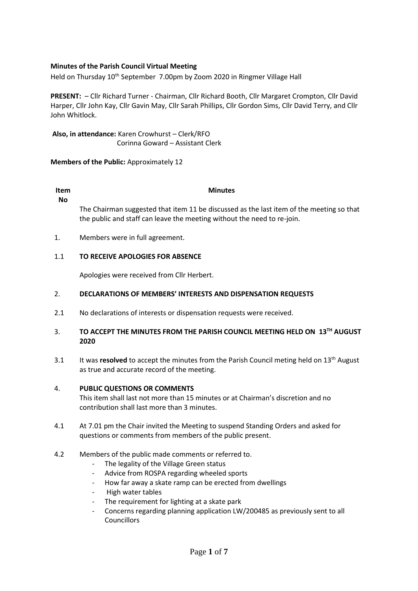# **Minutes of the Parish Council Virtual Meeting**

Held on Thursday 10<sup>th</sup> September 7.00pm by Zoom 2020 in Ringmer Village Hall

**PRESENT:** – Cllr Richard Turner - Chairman, Cllr Richard Booth, Cllr Margaret Crompton, Cllr David Harper, Cllr John Kay, Cllr Gavin May, Cllr Sarah Phillips, Cllr Gordon Sims, Cllr David Terry, and Cllr John Whitlock.

**Also, in attendance:** Karen Crowhurst – Clerk/RFO Corinna Goward – Assistant Clerk

## **Members of the Public:** Approximately 12

### **Item No**

**Minutes**

The Chairman suggested that item 11 be discussed as the last item of the meeting so that the public and staff can leave the meeting without the need to re-join.

1. Members were in full agreement.

#### 1.1 **TO RECEIVE APOLOGIES FOR ABSENCE**

Apologies were received from Cllr Herbert.

#### 2. **DECLARATIONS OF MEMBERS' INTERESTS AND DISPENSATION REQUESTS**

2.1 No declarations of interests or dispensation requests were received.

### 3. **TO ACCEPT THE MINUTES FROM THE PARISH COUNCIL MEETING HELD ON 13TH AUGUST 2020**

3.1 It was **resolved** to accept the minutes from the Parish Council meting held on 13<sup>th</sup> August as true and accurate record of the meeting.

#### 4. **PUBLIC QUESTIONS OR COMMENTS**

This item shall last not more than 15 minutes or at Chairman's discretion and no contribution shall last more than 3 minutes.

- 4.1 At 7.01 pm the Chair invited the Meeting to suspend Standing Orders and asked for questions or comments from members of the public present.
- 4.2 Members of the public made comments or referred to.
	- The legality of the Village Green status
	- Advice from ROSPA regarding wheeled sports
	- How far away a skate ramp can be erected from dwellings
	- High water tables
	- The requirement for lighting at a skate park
	- Concerns regarding planning application LW/200485 as previously sent to all Councillors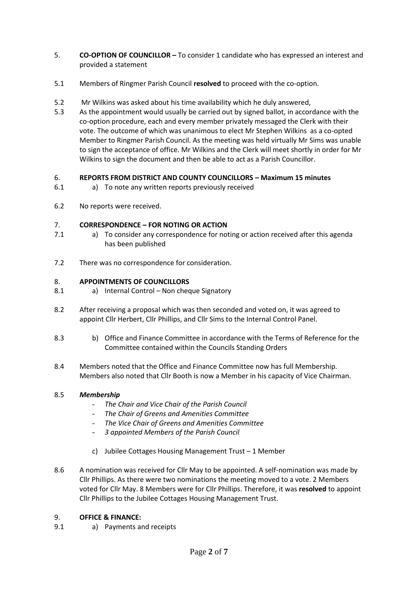- 5. **CO-OPTION OF COUNCILLOR –** To consider 1 candidate who has expressed an interest and provided a statement
- 5.1 Members of Ringmer Parish Council **resolved** to proceed with the co-option.
- 5.2 Mr Wilkins was asked about his time availability which he duly answered,
- 5.3 As the appointment would usually be carried out by signed ballot, in accordance with the co-option procedure, each and every member privately messaged the Clerk with their vote. The outcome of which was unanimous to elect Mr Stephen Wilkins as a co-opted Member to Ringmer Parish Council. As the meeting was held virtually Mr Sims was unable to sign the acceptance of office. Mr Wilkins and the Clerk will meet shortly in order for Mr Wilkins to sign the document and then be able to act as a Parish Councillor.

#### 6. **REPORTS FROM DISTRICT AND COUNTY COUNCILLORS – Maximum 15 minutes**

- 6.1 a) To note any written reports previously received
- 6.2 No reports were received.

#### 7. **CORRESPONDENCE – FOR NOTING OR ACTION**

- 7.1 a) To consider any correspondence for noting or action received after this agenda has been published
- 7.2 There was no correspondence for consideration.

#### 8. **APPOINTMENTS OF COUNCILLORS**

- 8.1 a) Internal Control – Non cheque Signatory
- 8.2 After receiving a proposal which was then seconded and voted on, it was agreed to appoint Cllr Herbert, Cllr Phillips, and Cllr Sims to the Internal Control Panel.
- 8.3 b) Office and Finance Committee in accordance with the Terms of Reference for the Committee contained within the Councils Standing Orders
- 8.4 Members noted that the Office and Finance Committee now has full Membership. Members also noted that Cllr Booth is now a Member in his capacity of Vice Chairman.

#### 8.5 *Membership*

- *The Chair and Vice Chair of the Parish Council*
- *The Chair of Greens and Amenities Committee*
- *The Vice Chair of Greens and Amenities Committee*
- *3 appointed Members of the Parish Council*
- c) Jubilee Cottages Housing Management Trust 1 Member
- 8.6 A nomination was received for Cllr May to be appointed. A self-nomination was made by Cllr Phillips. As there were two nominations the meeting moved to a vote. 2 Members voted for Cllr May. 8 Members were for Cllr Phillips. Therefore, it was **resolved** to appoint Cllr Phillips to the Jubilee Cottages Housing Management Trust.

#### 9. **OFFICE & FINANCE:**

9.1 a) Payments and receipts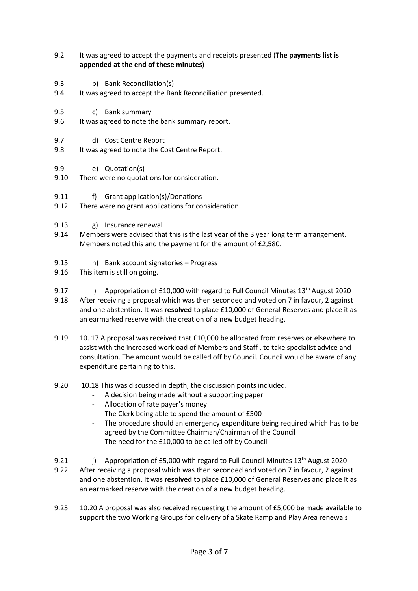- 9.2 It was agreed to accept the payments and receipts presented (**The payments list is appended at the end of these minutes**)
- 9.3 b) Bank Reconciliation(s)
- 9.4 It was agreed to accept the Bank Reconciliation presented.
- 9.5 c) Bank summary
- 9.6 It was agreed to note the bank summary report.
- 9.7 d) Cost Centre Report
- 9.8 It was agreed to note the Cost Centre Report.
- 9.9 e) Quotation(s)
- 9.10 There were no quotations for consideration.
- 9.11 f) Grant application(s)/Donations
- 9.12 There were no grant applications for consideration
- 9.13 g) Insurance renewal
- 9.14 Members were advised that this is the last year of the 3 year long term arrangement. Members noted this and the payment for the amount of £2,580.
- 9.15 h) Bank account signatories – Progress
- 9.16 This item is still on going.
- 9.17 i) Appropriation of  $£10,000$  with regard to Full Council Minutes  $13<sup>th</sup>$  August 2020
- 9.18 After receiving a proposal which was then seconded and voted on 7 in favour, 2 against and one abstention. It was **resolved** to place £10,000 of General Reserves and place it as an earmarked reserve with the creation of a new budget heading.
- 9.19 10. 17 A proposal was received that £10,000 be allocated from reserves or elsewhere to assist with the increased workload of Members and Staff , to take specialist advice and consultation. The amount would be called off by Council. Council would be aware of any expenditure pertaining to this.
- 9.20 10.18 This was discussed in depth, the discussion points included.
	- A decision being made without a supporting paper
	- Allocation of rate payer's money
	- The Clerk being able to spend the amount of £500
	- The procedure should an emergency expenditure being required which has to be agreed by the Committee Chairman/Chairman of the Council
	- The need for the £10,000 to be called off by Council
- 9.21 i) Appropriation of  $£5,000$  with regard to Full Council Minutes  $13<sup>th</sup>$  August 2020
- 9.22 After receiving a proposal which was then seconded and voted on 7 in favour, 2 against and one abstention. It was **resolved** to place £10,000 of General Reserves and place it as an earmarked reserve with the creation of a new budget heading.
- 9.23 10.20 A proposal was also received requesting the amount of £5,000 be made available to support the two Working Groups for delivery of a Skate Ramp and Play Area renewals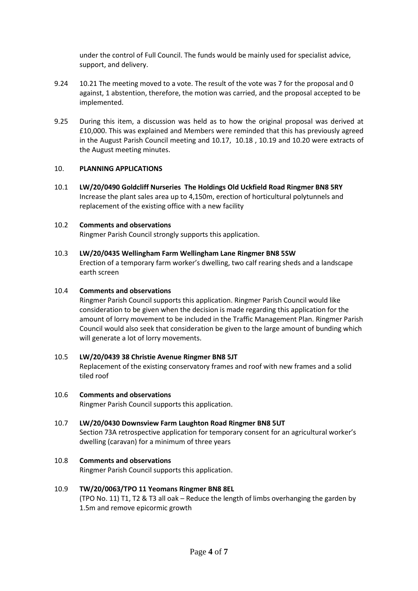under the control of Full Council. The funds would be mainly used for specialist advice, support, and delivery.

- 9.24 10.21 The meeting moved to a vote. The result of the vote was 7 for the proposal and 0 against, 1 abstention, therefore, the motion was carried, and the proposal accepted to be implemented.
- 9.25 During this item, a discussion was held as to how the original proposal was derived at £10,000. This was explained and Members were reminded that this has previously agreed in the August Parish Council meeting and 10.17, 10.18 , 10.19 and 10.20 were extracts of the August meeting minutes.

#### 10. **PLANNING APPLICATIONS**

10.1 **LW/20/0490 Goldcliff Nurseries The Holdings Old Uckfield Road Ringmer BN8 5RY** Increase the plant sales area up to 4,150m, erection of horticultural polytunnels and replacement of the existing office with a new facility

#### 10.2 **Comments and observations**

Ringmer Parish Council strongly supports this application.

#### 10.3 **LW/20/0435 Wellingham Farm Wellingham Lane Ringmer BN8 5SW**

Erection of a temporary farm worker's dwelling, two calf rearing sheds and a landscape earth screen

#### 10.4 **Comments and observations**

Ringmer Parish Council supports this application. Ringmer Parish Council would like consideration to be given when the decision is made regarding this application for the amount of lorry movement to be included in the Traffic Management Plan. Ringmer Parish Council would also seek that consideration be given to the large amount of bunding which will generate a lot of lorry movements.

#### 10.5 **LW/20/0439 38 Christie Avenue Ringmer BN8 5JT**

Replacement of the existing conservatory frames and roof with new frames and a solid tiled roof

#### 10.6 **Comments and observations**

Ringmer Parish Council supports this application.

### 10.7 **LW/20/0430 Downsview Farm Laughton Road Ringmer BN8 5UT**

Section 73A retrospective application for temporary consent for an agricultural worker's dwelling (caravan) for a minimum of three years

#### 10.8 **Comments and observations**

Ringmer Parish Council supports this application.

#### 10.9 **TW/20/0063/TPO 11 Yeomans Ringmer BN8 8EL**

(TPO No. 11) T1, T2 & T3 all oak – Reduce the length of limbs overhanging the garden by 1.5m and remove epicormic growth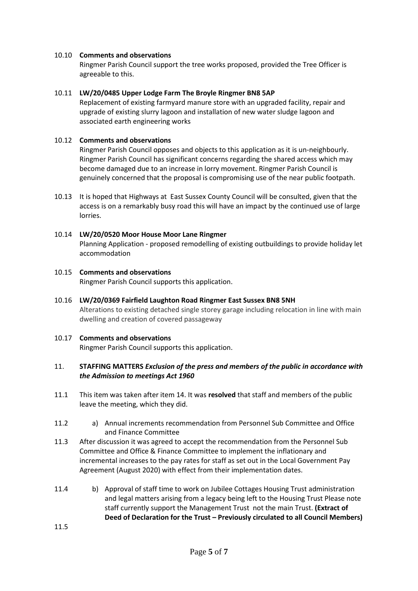## 10.10 **Comments and observations**

Ringmer Parish Council support the tree works proposed, provided the Tree Officer is agreeable to this.

## 10.11 **LW/20/0485 Upper Lodge Farm The Broyle Ringmer BN8 5AP**

Replacement of existing farmyard manure store with an upgraded facility, repair and upgrade of existing slurry lagoon and installation of new water sludge lagoon and associated earth engineering works

### 10.12 **Comments and observations**

Ringmer Parish Council opposes and objects to this application as it is un-neighbourly. Ringmer Parish Council has significant concerns regarding the shared access which may become damaged due to an increase in lorry movement. Ringmer Parish Council is genuinely concerned that the proposal is compromising use of the near public footpath.

10.13 It is hoped that Highways at East Sussex County Council will be consulted, given that the access is on a remarkably busy road this will have an impact by the continued use of large lorries.

## 10.14 **LW/20/0520 Moor House Moor Lane Ringmer**

Planning Application - proposed remodelling of existing outbuildings to provide holiday let accommodation

### 10.15 **Comments and observations** Ringmer Parish Council supports this application.

10.16 **LW/20/0369 Fairfield Laughton Road Ringmer East Sussex BN8 5NH** Alterations to existing detached single storey garage including relocation in line with main dwelling and creation of covered passageway

# 10.17 **Comments and observations**

Ringmer Parish Council supports this application.

### 11. **STAFFING MATTERS** *Exclusion of the press and members of the public in accordance with the Admission to meetings Act 1960*

- 11.1 This item was taken after item 14. It was **resolved** that staff and members of the public leave the meeting, which they did.
- 11.2 a) Annual increments recommendation from Personnel Sub Committee and Office and Finance Committee
- 11.3 After discussion it was agreed to accept the recommendation from the Personnel Sub Committee and Office & Finance Committee to implement the inflationary and incremental increases to the pay rates for staff as set out in the Local Government Pay Agreement (August 2020) with effect from their implementation dates.
- 11.4 b) Approval of staff time to work on Jubilee Cottages Housing Trust administration and legal matters arising from a legacy being left to the Housing Trust Please note staff currently support the Management Trust not the main Trust. **(Extract of Deed of Declaration for the Trust – Previously circulated to all Council Members)**

11.5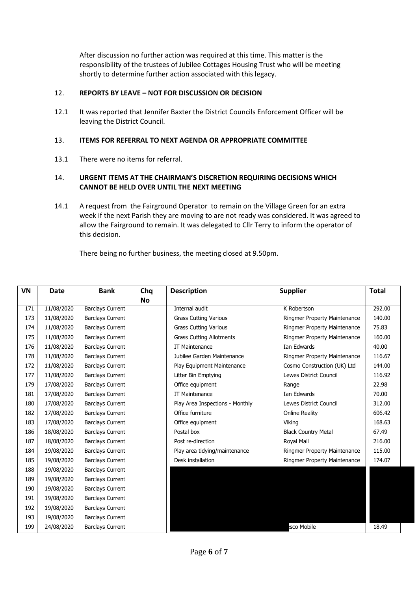After discussion no further action was required at this time. This matter is the responsibility of the trustees of Jubilee Cottages Housing Trust who will be meeting shortly to determine further action associated with this legacy.

#### 12. **REPORTS BY LEAVE – NOT FOR DISCUSSION OR DECISION**

12.1 It was reported that Jennifer Baxter the District Councils Enforcement Officer will be leaving the District Council.

#### 13. **ITEMS FOR REFERRAL TO NEXT AGENDA OR APPROPRIATE COMMITTEE**

13.1 There were no items for referral.

### 14. **URGENT ITEMS AT THE CHAIRMAN'S DISCRETION REQUIRING DECISIONS WHICH CANNOT BE HELD OVER UNTIL THE NEXT MEETING**

14.1 A request from the Fairground Operator to remain on the Village Green for an extra week if the next Parish they are moving to are not ready was considered. It was agreed to allow the Fairground to remain. It was delegated to Cllr Terry to inform the operator of this decision.

There being no further business, the meeting closed at 9.50pm.

| <b>VN</b> | Date       | <b>Bank</b>             | Chq       | <b>Description</b>              | <b>Supplier</b>              | <b>Total</b> |
|-----------|------------|-------------------------|-----------|---------------------------------|------------------------------|--------------|
|           |            |                         | <b>No</b> |                                 |                              |              |
| 171       | 11/08/2020 | <b>Barclays Current</b> |           | Internal audit                  | K Robertson                  | 292.00       |
| 173       | 11/08/2020 | <b>Barclays Current</b> |           | <b>Grass Cutting Various</b>    | Ringmer Property Maintenance | 140.00       |
| 174       | 11/08/2020 | <b>Barclays Current</b> |           | <b>Grass Cutting Various</b>    | Ringmer Property Maintenance | 75.83        |
| 175       | 11/08/2020 | <b>Barclays Current</b> |           | <b>Grass Cutting Allotments</b> | Ringmer Property Maintenance | 160.00       |
| 176       | 11/08/2020 | <b>Barclays Current</b> |           | IT Maintenance                  | Ian Edwards                  | 40.00        |
| 178       | 11/08/2020 | <b>Barclays Current</b> |           | Jubilee Garden Maintenance      | Ringmer Property Maintenance | 116.67       |
| 172       | 11/08/2020 | <b>Barclays Current</b> |           | Play Equipment Maintenance      | Cosmo Construction (UK) Ltd  | 144.00       |
| 177       | 11/08/2020 | <b>Barclays Current</b> |           | Litter Bin Emptying             | Lewes District Council       | 116.92       |
| 179       | 17/08/2020 | <b>Barclays Current</b> |           | Office equipment                | Range                        | 22.98        |
| 181       | 17/08/2020 | <b>Barclays Current</b> |           | IT Maintenance                  | Ian Edwards                  | 70.00        |
| 180       | 17/08/2020 | <b>Barclays Current</b> |           | Play Area Inspections - Monthly | Lewes District Council       | 312.00       |
| 182       | 17/08/2020 | <b>Barclays Current</b> |           | Office furniture                | <b>Online Reality</b>        | 606.42       |
| 183       | 17/08/2020 | <b>Barclays Current</b> |           | Office equipment                | Viking                       | 168.63       |
| 186       | 18/08/2020 | <b>Barclays Current</b> |           | Postal box                      | <b>Black Country Metal</b>   | 67.49        |
| 187       | 18/08/2020 | <b>Barclays Current</b> |           | Post re-direction               | Royal Mail                   | 216.00       |
| 184       | 19/08/2020 | <b>Barclays Current</b> |           | Play area tidying/maintenance   | Ringmer Property Maintenance | 115.00       |
| 185       | 19/08/2020 | <b>Barclays Current</b> |           | Desk installation               | Ringmer Property Maintenance | 174.07       |
| 188       | 19/08/2020 | <b>Barclays Current</b> |           |                                 |                              |              |
| 189       | 19/08/2020 | <b>Barclays Current</b> |           |                                 |                              |              |
| 190       | 19/08/2020 | <b>Barclays Current</b> |           |                                 |                              |              |
| 191       | 19/08/2020 | <b>Barclays Current</b> |           |                                 |                              |              |
| 192       | 19/08/2020 | <b>Barclays Current</b> |           |                                 |                              |              |
| 193       | 19/08/2020 | <b>Barclays Current</b> |           |                                 |                              |              |
| 199       | 24/08/2020 | <b>Barclays Current</b> |           |                                 | sco Mobile                   | 18.49        |